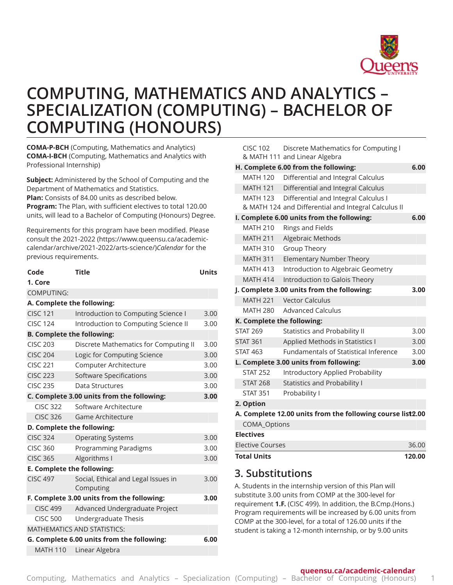

# **COMPUTING, MATHEMATICS AND ANALYTICS – SPECIALIZATION (COMPUTING) – BACHELOR OF COMPUTING (HONOURS)**

**COMA-P-BCH** (Computing, Mathematics and Analytics) **COMA-I-BCH** (Computing, Mathematics and Analytics with Professional Internship)

**Subject:** Administered by the School of Computing and the Department of Mathematics and Statistics. **Plan:** Consists of 84.00 units as described below. **Program:** The Plan, with sufficient electives to total 120.00 units, will lead to a Bachelor of Computing (Honours) Degree.

Requirements for this program have been modified. Please consult the [2021-2022](https://www.queensu.ca/academic-calendar/archive/2021-2022/arts-science/) ([https://www.queensu.ca/academic](https://www.queensu.ca/academic-calendar/archive/2021-2022/arts-science/)[calendar/archive/2021-2022/arts-science/](https://www.queensu.ca/academic-calendar/archive/2021-2022/arts-science/))*Calendar* for the previous requirements.

| Code                                               | <b>Title</b>                          | <b>Units</b> |  |  |  |
|----------------------------------------------------|---------------------------------------|--------------|--|--|--|
| 1. Core                                            |                                       |              |  |  |  |
| COMPUTING:                                         |                                       |              |  |  |  |
| A. Complete the following:                         |                                       |              |  |  |  |
| <b>CISC 121</b>                                    | Introduction to Computing Science I   | 3.00         |  |  |  |
| <b>CISC 124</b>                                    | Introduction to Computing Science II  | 3.00         |  |  |  |
|                                                    | <b>B. Complete the following:</b>     |              |  |  |  |
| <b>CISC 203</b>                                    | Discrete Mathematics for Computing II | 3.00         |  |  |  |
| <b>CISC 204</b>                                    | Logic for Computing Science           | 3.00         |  |  |  |
| <b>CISC 221</b>                                    | Computer Architecture                 | 3.00         |  |  |  |
| <b>CISC 223</b>                                    | <b>Software Specifications</b>        | 3.00         |  |  |  |
| <b>CISC 235</b>                                    | Data Structures                       | 3.00         |  |  |  |
| C. Complete 3.00 units from the following:         |                                       |              |  |  |  |
| <b>CISC 322</b>                                    | Software Architecture                 |              |  |  |  |
| <b>CISC 326</b>                                    | Game Architecture                     |              |  |  |  |
|                                                    | D. Complete the following:            |              |  |  |  |
| <b>CISC 324</b>                                    | <b>Operating Systems</b>              | 3.00         |  |  |  |
| <b>CISC 360</b>                                    | <b>Programming Paradigms</b>          | 3.00         |  |  |  |
| <b>CISC 365</b>                                    | Algorithms I                          | 3.00         |  |  |  |
| <b>E. Complete the following:</b>                  |                                       |              |  |  |  |
| <b>CISC 497</b>                                    | Social, Ethical and Legal Issues in   | 3.00         |  |  |  |
|                                                    | Computing                             |              |  |  |  |
| F. Complete 3.00 units from the following:         |                                       |              |  |  |  |
| <b>CISC 499</b>                                    | Advanced Undergraduate Project        |              |  |  |  |
| <b>CISC 500</b>                                    | Undergraduate Thesis                  |              |  |  |  |
| MATHEMATICS AND STATISTICS:                        |                                       |              |  |  |  |
| G. Complete 6.00 units from the following:<br>6.00 |                                       |              |  |  |  |
| <b>MATH 110</b>                                    | Linear Algebra                        |              |  |  |  |

CISC 102 & MATH 111 and Linear Algebra Discrete Mathematics for Computing l **H. Complete 6.00 from the following: 6.00** MATH 120 Differential and Integral Calculus MATH 121 Differential and Integral Calculus MATH 123 & MATH 124 and Differential and Integral Calculus II Differential and Integral Calculus I **I. Complete 6.00 units from the following: 6.00** MATH 210 Rings and Fields MATH 211 Algebraic Methods MATH 310 Group Theory MATH 311 Elementary Number Theory MATH 413 Introduction to Algebraic Geometry MATH 414 Introduction to Galois Theory

|                                                            |                 | J. Complete 3.00 units from the following:   | 3.00 |  |  |
|------------------------------------------------------------|-----------------|----------------------------------------------|------|--|--|
|                                                            | <b>MATH 221</b> | <b>Vector Calculus</b>                       |      |  |  |
|                                                            |                 | MATH 280 Advanced Calculus                   |      |  |  |
|                                                            |                 | K. Complete the following:                   |      |  |  |
|                                                            | <b>STAT 269</b> | <b>Statistics and Probability II</b>         | 3.00 |  |  |
|                                                            | <b>STAT 361</b> | Applied Methods in Statistics I              | 3.00 |  |  |
|                                                            | <b>STAT 463</b> | <b>Fundamentals of Statistical Inference</b> | 3.00 |  |  |
| L. Complete 3.00 units from following:<br>3.00             |                 |                                              |      |  |  |
|                                                            | <b>STAT 252</b> | Introductory Applied Probability             |      |  |  |
|                                                            | <b>STAT 268</b> | <b>Statistics and Probability I</b>          |      |  |  |
|                                                            | <b>STAT 351</b> | Probability I                                |      |  |  |
|                                                            | 2. Option       |                                              |      |  |  |
| A. Complete 12.00 units from the following course list2.00 |                 |                                              |      |  |  |
|                                                            | $\sim$          |                                              |      |  |  |

#### COMA\_Options **Electives**

| <b>Total Units</b> | 120.00 |
|--------------------|--------|
| Elective Courses   | 36.00  |
| Electives          |        |

### **3. Substitutions**

A. Students in the internship version of this Plan will substitute 3.00 units from COMP at the 300-level for requirement **1.F.** (CISC 499). In addition, the B.Cmp.(Hons.) Program requirements will be increased by 6.00 units from COMP at the 300-level, for a total of 126.00 units if the student is taking a 12-month internship, or by 9.00 units

#### **queensu.ca/academic-calendar**